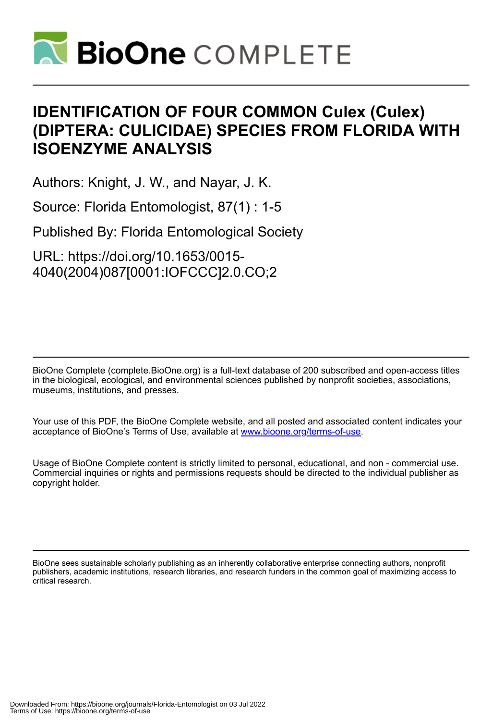

# **IDENTIFICATION OF FOUR COMMON Culex (Culex) (DIPTERA: CULICIDAE) SPECIES FROM FLORIDA WITH ISOENZYME ANALYSIS**

Authors: Knight, J. W., and Nayar, J. K.

Source: Florida Entomologist, 87(1) : 1-5

Published By: Florida Entomological Society

URL: https://doi.org/10.1653/0015- 4040(2004)087[0001:IOFCCC]2.0.CO;2

BioOne Complete (complete.BioOne.org) is a full-text database of 200 subscribed and open-access titles in the biological, ecological, and environmental sciences published by nonprofit societies, associations, museums, institutions, and presses.

Your use of this PDF, the BioOne Complete website, and all posted and associated content indicates your acceptance of BioOne's Terms of Use, available at www.bioone.org/terms-of-use.

Usage of BioOne Complete content is strictly limited to personal, educational, and non - commercial use. Commercial inquiries or rights and permissions requests should be directed to the individual publisher as copyright holder.

BioOne sees sustainable scholarly publishing as an inherently collaborative enterprise connecting authors, nonprofit publishers, academic institutions, research libraries, and research funders in the common goal of maximizing access to critical research.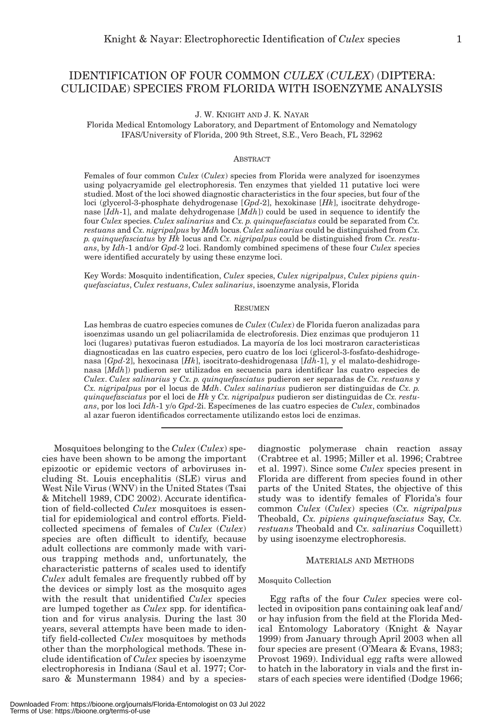# IDENTIFICATION OF FOUR COMMON *CULEX* (*CULEX*) (DIPTERA: CULICIDAE) SPECIES FROM FLORIDA WITH ISOENZYME ANALYSIS

J. W. KNIGHT AND J. K. NAYAR

Florida Medical Entomology Laboratory, and Department of Entomology and Nematology IFAS/University of Florida, 200 9th Street, S.E., Vero Beach, FL 32962

#### **ABSTRACT**

Females of four common *Culex* (*Culex*) species from Florida were analyzed for isoenzymes using polyacryamide gel electrophoresis. Ten enzymes that yielded 11 putative loci were studied. Most of the loci showed diagnostic characteristics in the four species, but four of the loci (glycerol-3-phosphate dehydrogenase [*Gpd*-2], hexokinase [*Hk*], isocitrate dehydrogenase [*Idh*-1], and malate dehydrogenase [*Mdh*]) could be used in sequence to identify the four *Culex* species. *Culex salinarius* and *Cx. p. quinquefasciatus* could be separated from *Cx. restuans* and *Cx. nigripalpus* by *Mdh* locus. *Culex salinarius* could be distinguished from *Cx. p. quinquefasciatus* by *Hk* locus and *Cx. nigripalpus* could be distinguished from *Cx. restuans*, by *Idh*-1 and/or *Gpd*-2 loci. Randomly combined specimens of these four *Culex* species were identified accurately by using these enzyme loci.

Key Words: Mosquito indentification, *Culex* species, *Culex nigripalpus*, *Culex pipiens quinquefasciatus*, *Culex restuans*, *Culex salinarius*, isoenzyme analysis, Florida

#### RESUMEN

Las hembras de cuatro especies comunes de *Culex* (*Culex*) de Florida fueron analizadas para isoenzimas usando un gel poliacrilamida de electroforesis. Diez enzimas que produjeron 11 loci (lugares) putativas fueron estudiados. La mayoría de los loci mostraron caracteristicas diagnosticadas en las cuatro especies, pero cuatro de los loci (glicerol-3-fosfato-deshidrogenasa [*Gpd-*2], hexocinasa [*Hk*], isocitrato-deshidrogenasa [*Idh*-1], y el malato-deshidrogenasa [*Mdh*]) pudieron ser utilizados en secuencia para identificar las cuatro especies de *Culex*. *Culex salinarius* y *Cx. p. quinquefasciatus* pudieron ser separadas de *Cx. restuans* y *Cx. nigripalpus* por el locus de *Mdh*. *Culex salinarius* pudieron ser distinguidas de *Cx. p. quinquefasciatus* por el loci de *Hk* y *Cx. nigripalpus* pudieron ser distinguidas de *Cx. restuans*, por los loci *Idh*-1 y/o *Gpd*-2i. Especímenes de las cuatro especies de *Culex*, combinados al azar fueron identificados correctamente utilizando estos loci de enzimas.

Mosquitoes belonging to the *Culex* (*Culex*) species have been shown to be among the important epizootic or epidemic vectors of arboviruses including St. Louis encephalitis (SLE) virus and West Nile Virus (WNV) in the United States (Tsai & Mitchell 1989, CDC 2002). Accurate identification of field-collected *Culex* mosquitoes is essential for epidemiological and control efforts. Fieldcollected specimens of females of *Culex* (*Culex*) species are often difficult to identify, because adult collections are commonly made with various trapping methods and, unfortunately, the characteristic patterns of scales used to identify *Culex* adult females are frequently rubbed off by the devices or simply lost as the mosquito ages with the result that unidentified *Culex* species are lumped together as *Culex* spp. for identification and for virus analysis. During the last 30 years, several attempts have been made to identify field-collected *Culex* mosquitoes by methods other than the morphological methods. These include identification of *Culex* species by isoenzyme electrophoresis in Indiana (Saul et al. 1977; Corsaro & Munstermann 1984) and by a species-

diagnostic polymerase chain reaction assay (Crabtree et al. 1995; Miller et al. 1996; Crabtree et al. 1997). Since some *Culex* species present in Florida are different from species found in other parts of the United States, the objective of this study was to identify females of Florida's four common *Culex* (*Culex*) species (*Cx. nigripalpus* Theobald, *Cx. pipiens quinquefasciatus* Say, *Cx. restuans* Theobald and *Cx. salinarius* Coquillett) by using isoenzyme electrophoresis.

# MATERIALS AND METHODS

#### Mosquito Collection

Egg rafts of the four *Culex* species were collected in oviposition pans containing oak leaf and/ or hay infusion from the field at the Florida Medical Entomology Laboratory (Knight & Nayar 1999) from January through April 2003 when all four species are present (O'Meara & Evans, 1983; Provost 1969). Individual egg rafts were allowed to hatch in the laboratory in vials and the first instars of each species were identified (Dodge 1966;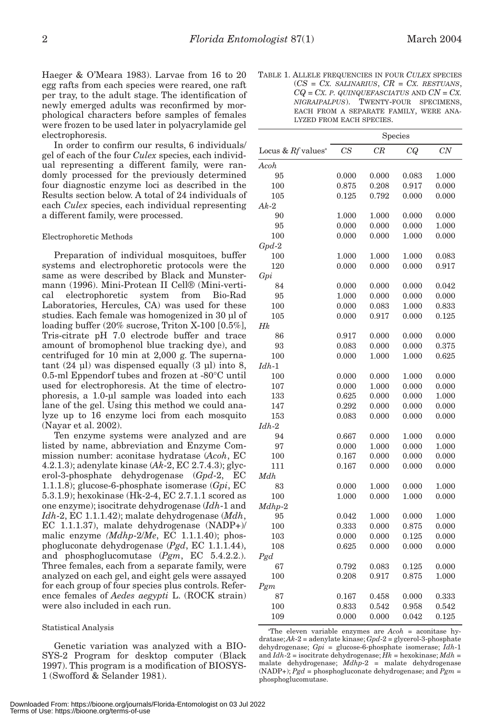Haeger & O'Meara 1983). Larvae from 16 to 20 egg rafts from each species were reared, one raft per tray, to the adult stage. The identification of newly emerged adults was reconfirmed by morphological characters before samples of females were frozen to be used later in polyacrylamide gel electrophoresis.

In order to confirm our results, 6 individuals/ gel of each of the four *Culex* species, each individual representing a different family, were randomly processed for the previously determined four diagnostic enzyme loci as described in the Results section below. A total of 24 individuals of each *Culex* species, each individual representing a different family, were processed.

#### Electrophoretic Methods

Preparation of individual mosquitoes, buffer systems and electrophoretic protocols were the same as were described by Black and Munstermann (1996). Mini-Protean II Cell® (Mini-vertical electrophoretic system from Bio-Rad Laboratories, Hercules, CA) was used for these studies. Each female was homogenized in 30 µl of loading buffer (20% sucrose, Triton X-100 [0.5%], Tris-citrate pH 7.0 electrode buffer and trace amount of bromophenol blue tracking dye), and centrifuged for 10 min at 2,000 g. The supernatant  $(24 \text{ µl})$  was dispensed equally  $(3 \text{ µl})$  into  $8$ , 0.5-ml Eppendorf tubes and frozen at -80°C until used for electrophoresis. At the time of electrophoresis, a 1.0-µl sample was loaded into each lane of the gel. Using this method we could analyze up to 16 enzyme loci from each mosquito (Nayar et al. 2002).

Ten enzyme systems were analyzed and are listed by name, abbreviation and Enzyme Commission number: aconitase hydratase (*Acoh*, EC 4.2.1.3); adenylate kinase (*Ak*-2, EC 2.7.4.3); glycerol-3-phosphate dehydrogenase (*Gpd*-2, EC 1.1.1.8); glucose-6-phosphate isomerase (*Gpi*, EC 5.3.1.9); hexokinase (Hk-2-4, EC 2.7.1.1 scored as one enzyme); isocitrate dehydrogenase (*Idh*-1 and *Idh*-2, EC 1.1.1.42); malate dehydrogenase (*Mdh*, EC 1.1.1.37), malate dehydrogenase (NADP+)/ malic enzyme *(Mdhp*-2/*Me*, EC 1.1.1.40); phosphogluconate dehydrogenase (*Pgd*, EC 1.1.1.44), and phosphoglucomutase (*Pgm*, EC 5.4.2.2.). Three females, each from a separate family, were analyzed on each gel, and eight gels were assayed for each group of four species plus controls. Reference females of *Aedes aegypti* L. (ROCK strain) were also included in each run.

#### Statistical Analysis

Genetic variation was analyzed with a BIO-SYS-2 Program for desktop computer (Black 1997). This program is a modification of BIOSYS-1 (Swofford & Selander 1981).

TABLE 1. ALLELE FREQUENCIES IN FOUR *CULEX* SPECIES (*CS* = *CX. SALINARIUS*, *CR* = *CX. RESTUANS*,  $CQ = CX$ . *P. QUINQUEFASCIATUS* AND  $CN = CX$ . *NIGRAIPALPUS*). TWENTY-FOUR SPECIMENS, EACH FROM A SEPARATE FAMILY, WERE ANA-LYZED FROM EACH SPECIES.

|                                  | Species |       |       |       |
|----------------------------------|---------|-------|-------|-------|
| Locus & $Rf$ values <sup>a</sup> | CS      | CR    | CQ    | CN    |
| Acoh                             |         |       |       |       |
| 95                               | 0.000   | 0.000 | 0.083 | 1.000 |
| 100                              | 0.875   | 0.208 | 0.917 | 0.000 |
| 105                              | 0.125   | 0.792 | 0.000 | 0.000 |
| $Ak-2$                           |         |       |       |       |
| 90                               | 1.000   | 1.000 | 0.000 | 0.000 |
| 95                               | 0.000   | 0.000 | 0.000 | 1.000 |
| 100                              | 0.000   | 0.000 | 1.000 | 0.000 |
| $Gpd-2$                          |         |       |       |       |
| 100                              | 1.000   | 1.000 | 1.000 | 0.083 |
| 120                              | 0.000   | 0.000 | 0.000 | 0.917 |
| Gpi                              |         |       |       |       |
| 84                               | 0.000   | 0.000 | 0.000 | 0.042 |
| 95                               | 1.000   | 0.000 | 0.000 | 0.000 |
| 100                              | 0.000   | 0.083 | 1.000 | 0.833 |
| 105                              | 0.000   | 0.917 | 0.000 | 0.125 |
| Hk                               |         |       |       |       |
| 86                               | 0.917   | 0.000 | 0.000 | 0.000 |
| 93                               | 0.083   | 0.000 | 0.000 | 0.375 |
| 100                              | 0.000   | 1.000 | 1.000 | 0.625 |
| $Idh-1$                          |         |       |       |       |
| 100                              | 0.000   | 0.000 | 1.000 | 0.000 |
| 107                              | 0.000   | 1.000 | 0.000 | 0.000 |
| 133                              | 0.625   | 0.000 | 0.000 | 1.000 |
| 147                              | 0.292   | 0.000 | 0.000 | 0.000 |
| 153                              | 0.083   | 0.000 | 0.000 | 0.000 |
| $Idh-2$                          |         |       |       |       |
| 94                               | 0.667   | 0.000 | 1.000 | 0.000 |
| 97                               | 0.000   | 1.000 | 0.000 | 1.000 |
| 100                              | 0.167   | 0.000 | 0.000 | 0.000 |
| 111                              | 0.167   | 0.000 | 0.000 | 0.000 |
| Mdh                              |         |       |       |       |
| 83                               | 0.000   | 1.000 | 0.000 | 1.000 |
| 100                              | 1.000   | 0.000 | 1.000 | 0.000 |
| $Mdhp-2$                         |         |       |       |       |
| 95                               | 0.042   | 1.000 | 0.000 | 1.000 |
| 100                              | 0.333   | 0.000 | 0.875 | 0.000 |
| 103                              | 0.000   | 0.000 | 0.125 | 0.000 |
| 108                              | 0.625   | 0.000 | 0.000 | 0.000 |
| P g d                            |         |       |       |       |
| 67                               | 0.792   | 0.083 | 0.125 | 0.000 |
| 100                              | 0.208   | 0.917 | 0.875 | 1.000 |
| Pgm                              |         |       |       |       |
| 87                               | 0.167   | 0.458 | 0.000 | 0.333 |
| 100                              | 0.833   | 0.542 | 0.958 | 0.542 |
| 109                              | 0.000   | 0.000 | 0.042 | 0.125 |

a The eleven variable enzymes are *Acoh* = aconitase hydratase; *Ak*-2 = adenylate kinase; *Gpd*-2 = glycerol-3-phosphate dehydrogenase; *Gpi* = glucose-6-phosphate isomerase; *Idh*-1 and *Idh*-2 = isocitrate dehydrogenase; *Hk* = hexokinase; *Mdh* = malate dehydrogenase; *Mdhp*-2 = malate dehydrogenase (NADP+); *Pgd* = phosphogluconate dehydrogenase; and *Pgm* = phosphoglucomutase.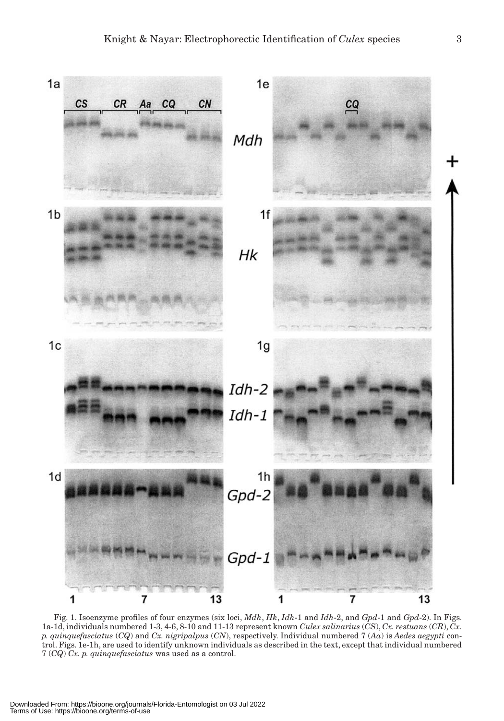

Fig. 1. Isoenzyme profiles of four enzymes (six loci, *Mdh*, *Hk*, *Idh*-1 and *Idh*-2, and *Gpd*-1 and *Gpd*-2). In Figs. 1a-1d, individuals numbered 1-3, 4-6, 8-10 and 11-13 represent known *Culex salinarius* (*CS*), *Cx. restuans* (*CR*), *Cx. p. quinquefasciatus* (*CQ*) and *Cx. nigripalpus* (*CN*), respectively. Individual numbered 7 (*Aa*) is *Aedes aegypti* control. Figs. 1e-1h, are used to identify unknown individuals as described in the text, except that individual numbered 7 (*CQ*) *Cx. p. quinquefasciatus* was used as a control.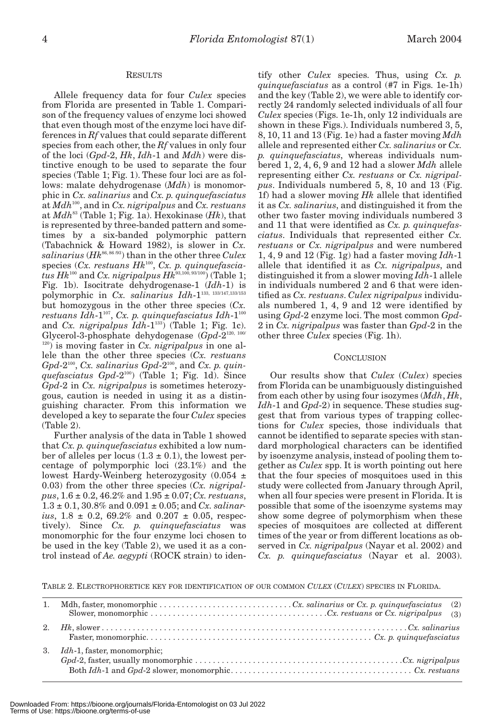### RESULTS

Allele frequency data for four *Culex* species from Florida are presented in Table 1. Comparison of the frequency values of enzyme loci showed that even though most of the enzyme loci have differences in *Rf* values that could separate different species from each other, the *Rf* values in only four of the loci (*Gpd*-2, *Hk*, *Idh*-1 and *Mdh*) were distinctive enough to be used to separate the four species (Table 1; Fig. 1). These four loci are as follows: malate dehydrogenase (*Mdh*) is monomorphic in *Cx. salinarius* and *Cx. p. quinquefasciatus* at *Mdh*100, and in *Cx. nigripalpus* and *Cx. restuans* at *Mdh*<sup>83</sup> (Table 1; Fig. 1a). Hexokinase (*Hk*), that is represented by three-banded pattern and sometimes by a six-banded polymorphic pattern (Tabachnick & Howard 1982), is slower in *Cx. salinarius* (*Hk*86, 86 /93) than in the other three *Culex* species (Cx. restuans Hk<sup>100</sup>, Cx. p. quinquefascia*tus Hk*<sup>100</sup> and *Cx. nigripalpus Hk*<sup>93,100</sup>, 93/100) (Table 1; Fig. 1b). Isocitrate dehydrogenase-1 (*Idh*-1) is polymorphic in *Cx. salinarius Idh*-1133, 133/147,133/153 but homozygous in the other three species (*Cx.*  $r$ estuans  $Idh-1^{107}$ , Cx. p. quinquefasciatus  $Idh-1^{100}$ and *Cx. nigripalpus Idh*-1133) (Table 1; Fig. 1c). Glycerol-3-phosphate dehydogenase (*Gpd*-2120, 100/ 120) is moving faster in *Cx. nigripalpus* in one allele than the other three species (*Cx. restuans Gpd*-2100, *Cx. salinarius Gpd*-2100, and *Cx. p. quinquefasciatus Gpd*-2100) (Table 1; Fig. 1d). Since *Gpd*-2 in *Cx. nigripalpus* is sometimes heterozygous, caution is needed in using it as a distinguishing character. From this information we developed a key to separate the four *Culex* species (Table 2).

Further analysis of the data in Table 1 showed that *Cx. p. quinquefasciatus* exhibited a low number of alleles per locus  $(1.3 \pm 0.1)$ , the lowest percentage of polymporphic loci (23.1%) and the lowest Hardy-Weinberg heterozygosity (0.054 ± 0.03) from the other three species (*Cx. nigripalpus*, 1.6 ± 0.2, 46.2% and 1.95 ± 0.07; *Cx. restuans*, 1.3 ± 0.1, 30.8% and 0.091 ± 0.05; and *Cx. salinarius*,  $1.8 \pm 0.2$ ,  $69.2\%$  and  $0.207 \pm 0.05$ , respectively). Since *Cx. p. quinquefasciatus* was monomorphic for the four enzyme loci chosen to be used in the key (Table 2), we used it as a control instead of *Ae. aegypti* (ROCK strain) to iden-

tify other *Culex* species. Thus, using *Cx. p. quinquefasciatus* as a control (#7 in Figs. 1e-1h) and the key (Table 2), we were able to identify correctly 24 randomly selected individuals of all four *Culex* species (Figs. 1e-1h, only 12 individuals are shown in these Figs.). Individuals numbered 3, 5, 8, 10, 11 and 13 (Fig. 1e) had a faster moving *Mdh* allele and represented either *Cx. salinarius* or *Cx. p. quinquefasciatus*, whereas individuals numbered 1, 2, 4, 6, 9 and 12 had a slower *Mdh* allele representing either *Cx. restuans* or *Cx. nigripalpus*. Individuals numbered 5, 8, 10 and 13 (Fig. 1f) had a slower moving *Hk* allele that identified it as *Cx. salinarius*, and distinguished it from the other two faster moving individuals numbered 3 and 11 that were identified as *Cx. p. quinquefasciatus*. Individuals that represented either *Cx. restuans* or *Cx. nigripalpus* and were numbered 1, 4, 9 and 12 (Fig. 1g) had a faster moving *Idh*-1 allele that identified it as *Cx. nigripalpus*, and distinguished it from a slower moving *Idh*-1 allele in individuals numbered 2 and 6 that were identified as *Cx. restuans*. *Culex nigripalpus* individuals numbered 1, 4, 9 and 12 were identified by using *Gpd*-2 enzyme loci. The most common *Gpd*-2 in *Cx. nigripalpus* was faster than *Gpd*-2 in the other three *Culex* species (Fig. 1h).

#### **CONCLUSION**

Our results show that *Culex* (*Culex*) species from Florida can be unambiguously distinguished from each other by using four isozymes (*Mdh*, *Hk*, *Idh*-1 and *Gpd*-2) in sequence. These studies suggest that from various types of trapping collections for *Culex* species, those individuals that cannot be identified to separate species with standard morphological characters can be identified by isoenzyme analysis, instead of pooling them together as *Culex* spp. It is worth pointing out here that the four species of mosquitoes used in this study were collected from January through April, when all four species were present in Florida. It is possible that some of the isoenzyme systems may show some degree of polymorphism when these species of mosquitoes are collected at different times of the year or from different locations as observed in *Cx. nigripalpus* (Nayar et al. 2002) and *Cx. p. quinquefasciatus* (Nayar et al. 2003).

TABLE 2. ELECTROPHORETICE KEY FOR IDENTIFICATION OF OUR COMMON *CULEX* (*CULEX*) SPECIES IN FLORIDA.

| 2. |                                     |  |
|----|-------------------------------------|--|
| 3. | <i>Idh</i> -1, faster, monomorphic; |  |